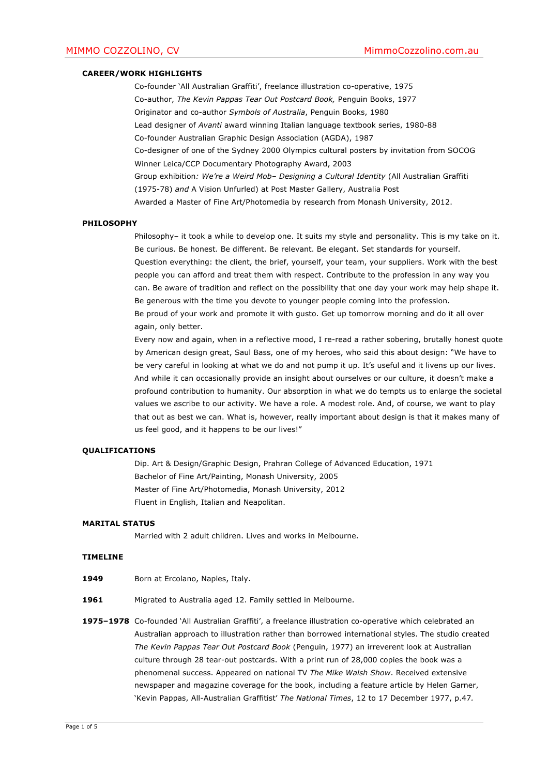# **CAREER/WORK HIGHLIGHTS**

Co-founder 'All Australian Graffiti', freelance illustration co-operative, 1975 Co-author, *The Kevin Pappas Tear Out Postcard Book,* Penguin Books, 1977 Originator and co-author *Symbols of Australia*, Penguin Books, 1980 Lead designer of *Avanti* award winning Italian language textbook series, 1980-88 Co-founder Australian Graphic Design Association (AGDA), 1987 Co-designer of one of the Sydney 2000 Olympics cultural posters by invitation from SOCOG Winner Leica/CCP Documentary Photography Award, 2003 Group exhibition*: We're a Weird Mob– Designing a Cultural Identity* (All Australian Graffiti (1975-78) *and* A Vision Unfurled) at Post Master Gallery, Australia Post Awarded a Master of Fine Art/Photomedia by research from Monash University, 2012.

### **PHILOSOPHY**

Philosophy– it took a while to develop one. It suits my style and personality. This is my take on it. Be curious. Be honest. Be different. Be relevant. Be elegant. Set standards for yourself. Question everything: the client, the brief, yourself, your team, your suppliers. Work with the best people you can afford and treat them with respect. Contribute to the profession in any way you can. Be aware of tradition and reflect on the possibility that one day your work may help shape it. Be generous with the time you devote to younger people coming into the profession. Be proud of your work and promote it with gusto. Get up tomorrow morning and do it all over again, only better.

Every now and again, when in a reflective mood, I re-read a rather sobering, brutally honest quote by American design great, Saul Bass, one of my heroes, who said this about design: "We have to be very careful in looking at what we do and not pump it up. It's useful and it livens up our lives. And while it can occasionally provide an insight about ourselves or our culture, it doesn't make a profound contribution to humanity. Our absorption in what we do tempts us to enlarge the societal values we ascribe to our activity. We have a role. A modest role. And, of course, we want to play that out as best we can. What is, however, really important about design is that it makes many of us feel good, and it happens to be our lives!"

# **QUALIFICATIONS**

Dip. Art & Design/Graphic Design, Prahran College of Advanced Education, 1971 Bachelor of Fine Art/Painting, Monash University, 2005 Master of Fine Art/Photomedia, Monash University, 2012 Fluent in English, Italian and Neapolitan.

# **MARITAL STATUS**

Married with 2 adult children. Lives and works in Melbourne.

#### **TIMELINE**

- 1949 **Born at Ercolano, Naples, Italy.**
- 1961 Migrated to Australia aged 12. Family settled in Melbourne.
- **1975–1978** Co-founded 'All Australian Graffiti', a freelance illustration co-operative which celebrated an Australian approach to illustration rather than borrowed international styles. The studio created *The Kevin Pappas Tear Out Postcard Book* (Penguin, 1977) an irreverent look at Australian culture through 28 tear-out postcards. With a print run of 28,000 copies the book was a phenomenal success. Appeared on national TV *The Mike Walsh Show*. Received extensive newspaper and magazine coverage for the book, including a feature article by Helen Garner, 'Kevin Pappas, All-Australian Graffitist' *The National Times*, 12 to 17 December 1977, p.47*.*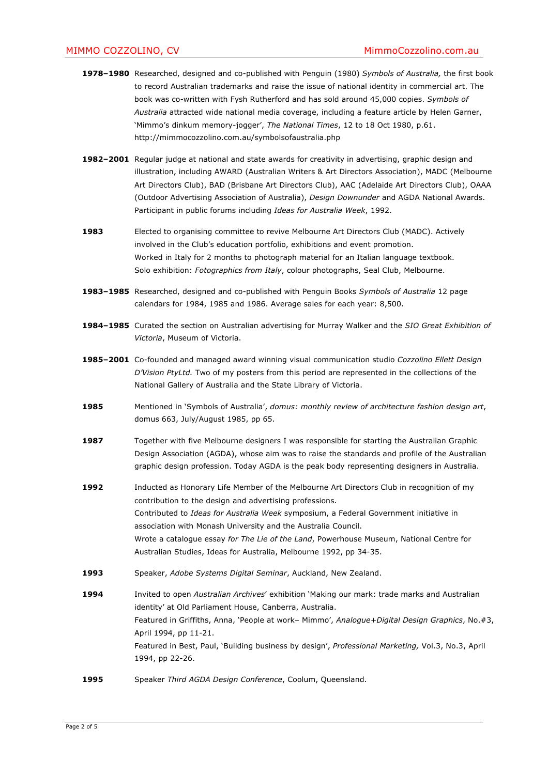- **1978–1980** Researched, designed and co-published with Penguin (1980) *Symbols of Australia,* the first book to record Australian trademarks and raise the issue of national identity in commercial art. The book was co-written with Fysh Rutherford and has sold around 45,000 copies. *Symbols of Australia* attracted wide national media coverage, including a feature article by Helen Garner, 'Mimmo's dinkum memory-jogger', *The National Times*, 12 to 18 Oct 1980, p.61. http://mimmocozzolino.com.au/symbolsofaustralia.php
- **1982–2001** Regular judge at national and state awards for creativity in advertising, graphic design and illustration, including AWARD (Australian Writers & Art Directors Association), MADC (Melbourne Art Directors Club), BAD (Brisbane Art Directors Club), AAC (Adelaide Art Directors Club), OAAA (Outdoor Advertising Association of Australia), *Design Downunder* and AGDA National Awards. Participant in public forums including *Ideas for Australia Week*, 1992.
- 1983 **Elected to organising committee to revive Melbourne Art Directors Club (MADC). Actively** involved in the Club's education portfolio, exhibitions and event promotion. Worked in Italy for 2 months to photograph material for an Italian language textbook. Solo exhibition: *Fotographics from Italy*, colour photographs, Seal Club, Melbourne.
- **1983–1985** Researched, designed and co-published with Penguin Books *Symbols of Australia* 12 page calendars for 1984, 1985 and 1986. Average sales for each year: 8,500.
- **1984–1985** Curated the section on Australian advertising for Murray Walker and the *SIO Great Exhibition of Victoria*, Museum of Victoria.
- **1985–2001** Co-founded and managed award winning visual communication studio *Cozzolino Ellett Design D'Vision PtyLtd.* Two of my posters from this period are represented in the collections of the National Gallery of Australia and the State Library of Victoria.
- **1985** Mentioned in 'Symbols of Australia', *domus: monthly review of architecture fashion design art*, domus 663, July/August 1985, pp 65.
- **1987** Together with five Melbourne designers I was responsible for starting the Australian Graphic Design Association (AGDA), whose aim was to raise the standards and profile of the Australian graphic design profession. Today AGDA is the peak body representing designers in Australia.
- **1992** Inducted as Honorary Life Member of the Melbourne Art Directors Club in recognition of my contribution to the design and advertising professions. Contributed to *Ideas for Australia Week* symposium, a Federal Government initiative in association with Monash University and the Australia Council. Wrote a catalogue essay *for The Lie of the Land*, Powerhouse Museum, National Centre for Australian Studies, Ideas for Australia, Melbourne 1992, pp 34-35.
- **1993** Speaker, *Adobe Systems Digital Seminar*, Auckland, New Zealand.
- **1994** Invited to open *Australian Archives*' exhibition 'Making our mark: trade marks and Australian identity' at Old Parliament House, Canberra, Australia. Featured in Griffiths, Anna, 'People at work– Mimmo', *Analogue+Digital Design Graphics*, No.#3, April 1994, pp 11-21. Featured in Best, Paul, 'Building business by design', *Professional Marketing,* Vol.3, No.3, April 1994, pp 22-26.
- **1995** Speaker *Third AGDA Design Conference*, Coolum, Queensland.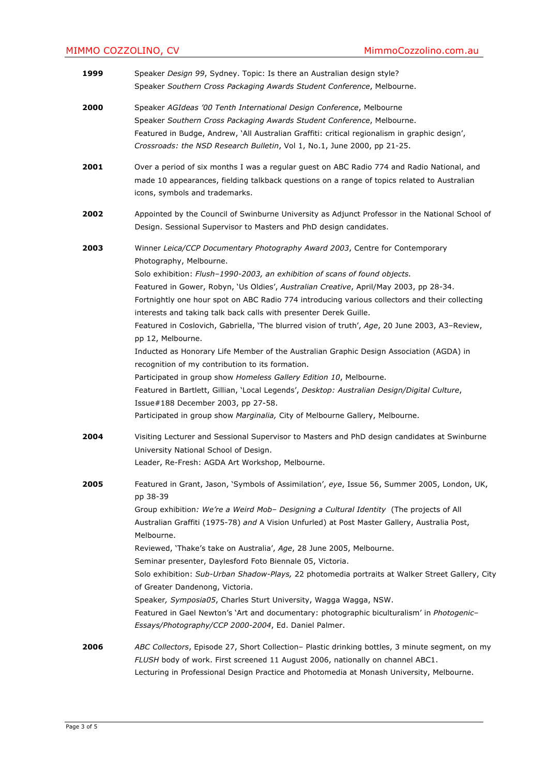| 1999 | Speaker Design 99, Sydney. Topic: Is there an Australian design style?<br>Speaker Southern Cross Packaging Awards Student Conference, Melbourne.                                                                                                                                                                                                                                                                                                                                                                                                                                                                                                                                                                                                                                                                                                                                                                                                                                                                       |
|------|------------------------------------------------------------------------------------------------------------------------------------------------------------------------------------------------------------------------------------------------------------------------------------------------------------------------------------------------------------------------------------------------------------------------------------------------------------------------------------------------------------------------------------------------------------------------------------------------------------------------------------------------------------------------------------------------------------------------------------------------------------------------------------------------------------------------------------------------------------------------------------------------------------------------------------------------------------------------------------------------------------------------|
| 2000 | Speaker AGIdeas '00 Tenth International Design Conference, Melbourne<br>Speaker Southern Cross Packaging Awards Student Conference, Melbourne.<br>Featured in Budge, Andrew, `All Australian Graffiti: critical regionalism in graphic design',<br>Crossroads: the NSD Research Bulletin, Vol 1, No.1, June 2000, pp 21-25.                                                                                                                                                                                                                                                                                                                                                                                                                                                                                                                                                                                                                                                                                            |
| 2001 | Over a period of six months I was a regular guest on ABC Radio 774 and Radio National, and<br>made 10 appearances, fielding talkback questions on a range of topics related to Australian<br>icons, symbols and trademarks.                                                                                                                                                                                                                                                                                                                                                                                                                                                                                                                                                                                                                                                                                                                                                                                            |
| 2002 | Appointed by the Council of Swinburne University as Adjunct Professor in the National School of<br>Design. Sessional Supervisor to Masters and PhD design candidates.                                                                                                                                                                                                                                                                                                                                                                                                                                                                                                                                                                                                                                                                                                                                                                                                                                                  |
| 2003 | Winner Leica/CCP Documentary Photography Award 2003, Centre for Contemporary<br>Photography, Melbourne.<br>Solo exhibition: Flush-1990-2003, an exhibition of scans of found objects.<br>Featured in Gower, Robyn, 'Us Oldies', Australian Creative, April/May 2003, pp 28-34.<br>Fortnightly one hour spot on ABC Radio 774 introducing various collectors and their collecting<br>interests and taking talk back calls with presenter Derek Guille.<br>Featured in Coslovich, Gabriella, 'The blurred vision of truth', Age, 20 June 2003, A3-Review,<br>pp 12, Melbourne.<br>Inducted as Honorary Life Member of the Australian Graphic Design Association (AGDA) in<br>recognition of my contribution to its formation.<br>Participated in group show Homeless Gallery Edition 10, Melbourne.<br>Featured in Bartlett, Gillian, 'Local Legends', Desktop: Australian Design/Digital Culture,<br>Issue#188 December 2003, pp 27-58.<br>Participated in group show Marginalia, City of Melbourne Gallery, Melbourne. |
| 2004 | Visiting Lecturer and Sessional Supervisor to Masters and PhD design candidates at Swinburne<br>University National School of Design.<br>Leader, Re-Fresh: AGDA Art Workshop, Melbourne.                                                                                                                                                                                                                                                                                                                                                                                                                                                                                                                                                                                                                                                                                                                                                                                                                               |
| 2005 | Featured in Grant, Jason, `Symbols of Assimilation', eye, Issue 56, Summer 2005, London, UK,<br>pp 38-39<br>Group exhibition: We're a Weird Mob- Designing a Cultural Identity (The projects of All<br>Australian Graffiti (1975-78) and A Vision Unfurled) at Post Master Gallery, Australia Post,<br>Melbourne.<br>Reviewed, 'Thake's take on Australia', Age, 28 June 2005, Melbourne.<br>Seminar presenter, Daylesford Foto Biennale 05, Victoria.<br>Solo exhibition: Sub-Urban Shadow-Plays, 22 photomedia portraits at Walker Street Gallery, City<br>of Greater Dandenong, Victoria.<br>Speaker, Symposia05, Charles Sturt University, Wagga Wagga, NSW.<br>Featured in Gael Newton's `Art and documentary: photographic biculturalism' in Photogenic-<br>Essays/Photography/CCP 2000-2004, Ed. Daniel Palmer.                                                                                                                                                                                                 |
| 2006 | ABC Collectors, Episode 27, Short Collection- Plastic drinking bottles, 3 minute segment, on my<br>FLUSH body of work. First screened 11 August 2006, nationally on channel ABC1.<br>Lecturing in Professional Design Practice and Photomedia at Monash University, Melbourne.                                                                                                                                                                                                                                                                                                                                                                                                                                                                                                                                                                                                                                                                                                                                         |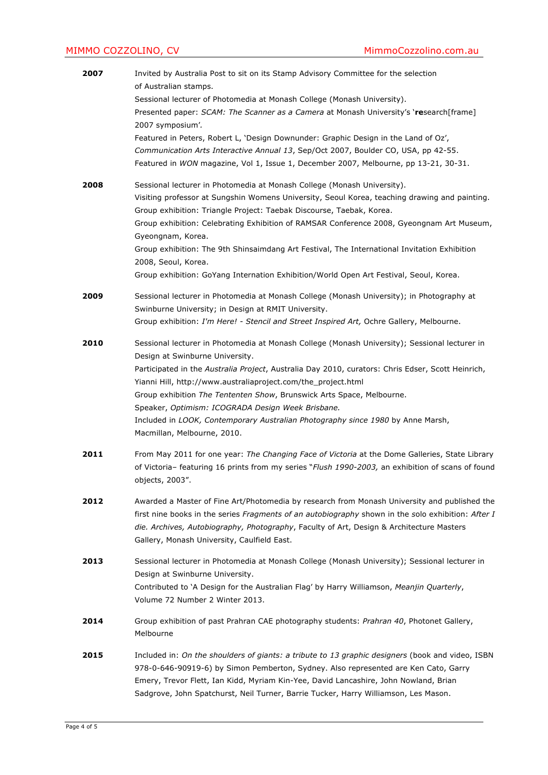# MIMMO COZZOLINO, CV **MIMMO COZZOLINO**, CV

| 2007 | Invited by Australia Post to sit on its Stamp Advisory Committee for the selection<br>of Australian stamps.                                                                                                                                                                                                                                                                                                                                                                                                                                                                         |
|------|-------------------------------------------------------------------------------------------------------------------------------------------------------------------------------------------------------------------------------------------------------------------------------------------------------------------------------------------------------------------------------------------------------------------------------------------------------------------------------------------------------------------------------------------------------------------------------------|
|      | Sessional lecturer of Photomedia at Monash College (Monash University).<br>Presented paper: SCAM: The Scanner as a Camera at Monash University's 'research[frame]<br>2007 symposium'.                                                                                                                                                                                                                                                                                                                                                                                               |
|      | Featured in Peters, Robert L, 'Design Downunder: Graphic Design in the Land of Oz',<br>Communication Arts Interactive Annual 13, Sep/Oct 2007, Boulder CO, USA, pp 42-55.<br>Featured in WON magazine, Vol 1, Issue 1, December 2007, Melbourne, pp 13-21, 30-31.                                                                                                                                                                                                                                                                                                                   |
| 2008 | Sessional lecturer in Photomedia at Monash College (Monash University).<br>Visiting professor at Sungshin Womens University, Seoul Korea, teaching drawing and painting.<br>Group exhibition: Triangle Project: Taebak Discourse, Taebak, Korea.<br>Group exhibition: Celebrating Exhibition of RAMSAR Conference 2008, Gyeongnam Art Museum,<br>Gyeongnam, Korea.<br>Group exhibition: The 9th Shinsaimdang Art Festival, The International Invitation Exhibition<br>2008, Seoul, Korea.<br>Group exhibition: GoYang Internation Exhibition/World Open Art Festival, Seoul, Korea. |
| 2009 | Sessional lecturer in Photomedia at Monash College (Monash University); in Photography at<br>Swinburne University; in Design at RMIT University.<br>Group exhibition: I'm Here! - Stencil and Street Inspired Art, Ochre Gallery, Melbourne.                                                                                                                                                                                                                                                                                                                                        |
| 2010 | Sessional lecturer in Photomedia at Monash College (Monash University); Sessional lecturer in<br>Design at Swinburne University.<br>Participated in the Australia Project, Australia Day 2010, curators: Chris Edser, Scott Heinrich,<br>Yianni Hill, http://www.australiaproject.com/the_project.html<br>Group exhibition The Tententen Show, Brunswick Arts Space, Melbourne.<br>Speaker, Optimism: ICOGRADA Design Week Brisbane.<br>Included in LOOK, Contemporary Australian Photography since 1980 by Anne Marsh,<br>Macmillan, Melbourne, 2010.                              |
| 2011 | From May 2011 for one year: The Changing Face of Victoria at the Dome Galleries, State Library<br>of Victoria- featuring 16 prints from my series "Flush 1990-2003, an exhibition of scans of found<br>objects, 2003".                                                                                                                                                                                                                                                                                                                                                              |
| 2012 | Awarded a Master of Fine Art/Photomedia by research from Monash University and published the<br>first nine books in the series Fragments of an autobiography shown in the solo exhibition: After I<br>die. Archives, Autobiography, Photography, Faculty of Art, Design & Architecture Masters<br>Gallery, Monash University, Caulfield East.                                                                                                                                                                                                                                       |
| 2013 | Sessional lecturer in Photomedia at Monash College (Monash University); Sessional lecturer in<br>Design at Swinburne University.<br>Contributed to 'A Design for the Australian Flag' by Harry Williamson, Meanjin Quarterly,<br>Volume 72 Number 2 Winter 2013.                                                                                                                                                                                                                                                                                                                    |
| 2014 | Group exhibition of past Prahran CAE photography students: Prahran 40, Photonet Gallery,<br>Melbourne                                                                                                                                                                                                                                                                                                                                                                                                                                                                               |
| 2015 | Included in: On the shoulders of giants: a tribute to 13 graphic designers (book and video, ISBN<br>978-0-646-90919-6) by Simon Pemberton, Sydney. Also represented are Ken Cato, Garry<br>Emery, Trevor Flett, Ian Kidd, Myriam Kin-Yee, David Lancashire, John Nowland, Brian<br>Sadgrove, John Spatchurst, Neil Turner, Barrie Tucker, Harry Williamson, Les Mason.                                                                                                                                                                                                              |